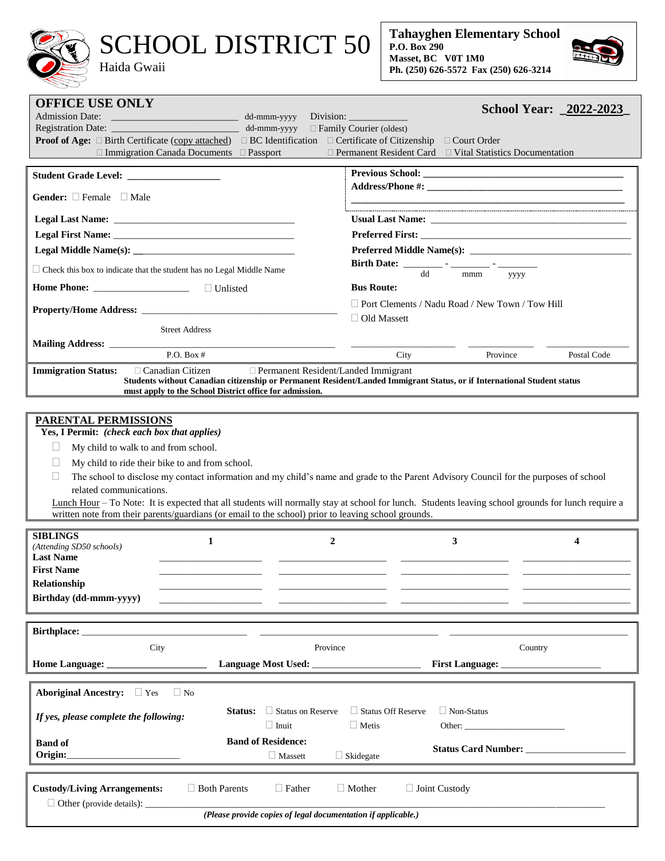## SCHOOL DISTRICT 50

Haida Gwaii



| <b>OFFICE USE ONLY</b>                                                                                                   | School Year: 2022-2023                                                                                                                                                                                                        |  |  |  |
|--------------------------------------------------------------------------------------------------------------------------|-------------------------------------------------------------------------------------------------------------------------------------------------------------------------------------------------------------------------------|--|--|--|
| <b>Admission Date:</b><br><u> Linda (m. 1958)</u><br>dd-mmm-yyyy                                                         | Division: $\frac{1}{\sqrt{1-\frac{1}{2}}\cdot\frac{1}{\sqrt{1-\frac{1}{2}}}}$                                                                                                                                                 |  |  |  |
|                                                                                                                          | $\Box$ Family Courier (oldest)                                                                                                                                                                                                |  |  |  |
| <b>Proof of Age:</b> $\Box$ Birth Certificate (copy attached) $\Box$ BC Identification $\Box$ Certificate of Citizenship | $\Box$ Court Order                                                                                                                                                                                                            |  |  |  |
| $\Box$ Immigration Canada Documents $\Box$ Passport                                                                      | $\Box$ Permanent Resident Card $\Box$ Vital Statistics Documentation                                                                                                                                                          |  |  |  |
|                                                                                                                          |                                                                                                                                                                                                                               |  |  |  |
|                                                                                                                          |                                                                                                                                                                                                                               |  |  |  |
|                                                                                                                          |                                                                                                                                                                                                                               |  |  |  |
|                                                                                                                          |                                                                                                                                                                                                                               |  |  |  |
| <b>Gender:</b> $\square$ Female $\square$ Male                                                                           |                                                                                                                                                                                                                               |  |  |  |
|                                                                                                                          |                                                                                                                                                                                                                               |  |  |  |
|                                                                                                                          | Usual Last Name: Name and Solid Last Name and Solid Last Name and Solid Last Name and Solid Last Name and Solid Last Name and Solid Last Name and Solid Last Name and Solid Last Name and Solid Last Name and Solid Last Name |  |  |  |
|                                                                                                                          |                                                                                                                                                                                                                               |  |  |  |
|                                                                                                                          |                                                                                                                                                                                                                               |  |  |  |
|                                                                                                                          |                                                                                                                                                                                                                               |  |  |  |
| $\Box$ Check this box to indicate that the student has no Legal Middle Name                                              | dd                                                                                                                                                                                                                            |  |  |  |
|                                                                                                                          | mmm<br>уууу                                                                                                                                                                                                                   |  |  |  |
|                                                                                                                          | <b>Bus Route:</b>                                                                                                                                                                                                             |  |  |  |
|                                                                                                                          | $\Box$ Port Clements / Nadu Road / New Town / Tow Hill                                                                                                                                                                        |  |  |  |
|                                                                                                                          |                                                                                                                                                                                                                               |  |  |  |
|                                                                                                                          | $\Box$ Old Massett                                                                                                                                                                                                            |  |  |  |
| <b>Street Address</b>                                                                                                    |                                                                                                                                                                                                                               |  |  |  |
|                                                                                                                          |                                                                                                                                                                                                                               |  |  |  |
| P.O. Box $#$                                                                                                             | Postal Code<br>City<br>Province                                                                                                                                                                                               |  |  |  |
|                                                                                                                          |                                                                                                                                                                                                                               |  |  |  |
| <b>Immigration Status:</b><br>$\Box$ Canadian Citizen<br>Permanent Resident/Landed Immigrant                             |                                                                                                                                                                                                                               |  |  |  |
| must apply to the School District office for admission.                                                                  | Students without Canadian citizenship or Permanent Resident/Landed Immigrant Status, or if International Student status                                                                                                       |  |  |  |
|                                                                                                                          |                                                                                                                                                                                                                               |  |  |  |
|                                                                                                                          |                                                                                                                                                                                                                               |  |  |  |
| <b>PARENTAL PERMISSIONS</b>                                                                                              |                                                                                                                                                                                                                               |  |  |  |
| Yes, I Permit: (check each box that applies)                                                                             |                                                                                                                                                                                                                               |  |  |  |
|                                                                                                                          |                                                                                                                                                                                                                               |  |  |  |
|                                                                                                                          |                                                                                                                                                                                                                               |  |  |  |
| My child to walk to and from school.                                                                                     |                                                                                                                                                                                                                               |  |  |  |
| $\Box$                                                                                                                   |                                                                                                                                                                                                                               |  |  |  |
| My child to ride their bike to and from school.                                                                          |                                                                                                                                                                                                                               |  |  |  |
| $\Box$                                                                                                                   | The school to disclose my contact information and my child's name and grade to the Parent Advisory Council for the purposes of school                                                                                         |  |  |  |
| related communications.                                                                                                  |                                                                                                                                                                                                                               |  |  |  |
|                                                                                                                          | Lunch Hour - To Note: It is expected that all students will normally stay at school for lunch. Students leaving school grounds for lunch require a                                                                            |  |  |  |
| written note from their parents/guardians (or email to the school) prior to leaving school grounds.                      |                                                                                                                                                                                                                               |  |  |  |
|                                                                                                                          |                                                                                                                                                                                                                               |  |  |  |
| <b>SIBLINGS</b>                                                                                                          |                                                                                                                                                                                                                               |  |  |  |
| $\boldsymbol{2}$<br>1<br>(Attending SD50 schools)                                                                        | 3<br>$\boldsymbol{4}$                                                                                                                                                                                                         |  |  |  |
| <b>Last Name</b>                                                                                                         |                                                                                                                                                                                                                               |  |  |  |
| <b>First Name</b>                                                                                                        |                                                                                                                                                                                                                               |  |  |  |
|                                                                                                                          |                                                                                                                                                                                                                               |  |  |  |
| Relationship                                                                                                             |                                                                                                                                                                                                                               |  |  |  |
| Birthday (dd-mmm-yyyy)                                                                                                   |                                                                                                                                                                                                                               |  |  |  |
|                                                                                                                          |                                                                                                                                                                                                                               |  |  |  |
|                                                                                                                          |                                                                                                                                                                                                                               |  |  |  |
|                                                                                                                          |                                                                                                                                                                                                                               |  |  |  |
| Province<br>City                                                                                                         | Country                                                                                                                                                                                                                       |  |  |  |
|                                                                                                                          |                                                                                                                                                                                                                               |  |  |  |
|                                                                                                                          | First Language:                                                                                                                                                                                                               |  |  |  |
|                                                                                                                          |                                                                                                                                                                                                                               |  |  |  |
| $\Box$ No                                                                                                                |                                                                                                                                                                                                                               |  |  |  |
| Aboriginal Ancestry: □ Yes                                                                                               |                                                                                                                                                                                                                               |  |  |  |
| Status:<br>$\Box$ Status on Reserve                                                                                      | $\Box$ Status Off Reserve<br>$\Box$ Non-Status                                                                                                                                                                                |  |  |  |
| If yes, please complete the following:                                                                                   |                                                                                                                                                                                                                               |  |  |  |
| $\Box$ Inuit                                                                                                             | $\Box$ Metis<br>Other: $\qquad \qquad$                                                                                                                                                                                        |  |  |  |
| <b>Band of Residence:</b><br><b>Band of</b>                                                                              |                                                                                                                                                                                                                               |  |  |  |
| Origin:<br>$\Box$<br><br>Massett                                                                                         | $\Box$ Skidegate                                                                                                                                                                                                              |  |  |  |
|                                                                                                                          |                                                                                                                                                                                                                               |  |  |  |
|                                                                                                                          |                                                                                                                                                                                                                               |  |  |  |
| <b>Custody/Living Arrangements:</b><br>$\Box$ Both Parents<br>$\Box$ Father                                              | $\Box$ Mother<br>□ Joint Custody                                                                                                                                                                                              |  |  |  |
| $\Box$ Other (provide details): $\Box$                                                                                   |                                                                                                                                                                                                                               |  |  |  |